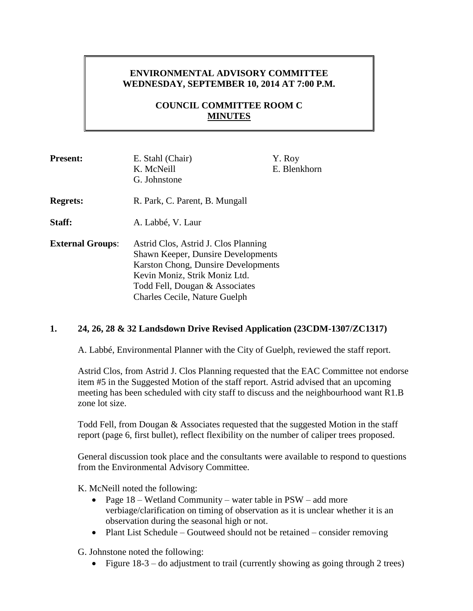# **ENVIRONMENTAL ADVISORY COMMITTEE WEDNESDAY, SEPTEMBER 10, 2014 AT 7:00 P.M.**

# **COUNCIL COMMITTEE ROOM C MINUTES**

| <b>Present:</b>         | E. Stahl (Chair)                          | Y. Roy       |
|-------------------------|-------------------------------------------|--------------|
|                         | K. McNeill                                | E. Blenkhorn |
|                         | G. Johnstone                              |              |
| <b>Regrets:</b>         | R. Park, C. Parent, B. Mungall            |              |
| Staff:                  | A. Labbé, V. Laur                         |              |
| <b>External Groups:</b> | Astrid Clos, Astrid J. Clos Planning      |              |
|                         | <b>Shawn Keeper, Dunsire Developments</b> |              |
|                         | Karston Chong, Dunsire Developments       |              |
|                         | Kevin Moniz, Strik Moniz Ltd.             |              |
|                         | Todd Fell, Dougan & Associates            |              |
|                         | Charles Cecile, Nature Guelph             |              |

## **1. 24, 26, 28 & 32 Landsdown Drive Revised Application (23CDM-1307/ZC1317)**

A. Labbé, Environmental Planner with the City of Guelph, reviewed the staff report.

Astrid Clos, from Astrid J. Clos Planning requested that the EAC Committee not endorse item #5 in the Suggested Motion of the staff report. Astrid advised that an upcoming meeting has been scheduled with city staff to discuss and the neighbourhood want R1.B zone lot size.

Todd Fell, from Dougan & Associates requested that the suggested Motion in the staff report (page 6, first bullet), reflect flexibility on the number of caliper trees proposed.

General discussion took place and the consultants were available to respond to questions from the Environmental Advisory Committee.

K. McNeill noted the following:

- Page 18 Wetland Community water table in PSW add more verbiage/clarification on timing of observation as it is unclear whether it is an observation during the seasonal high or not.
- Plant List Schedule Goutweed should not be retained consider removing

G. Johnstone noted the following:

• Figure 18-3 – do adjustment to trail (currently showing as going through 2 trees)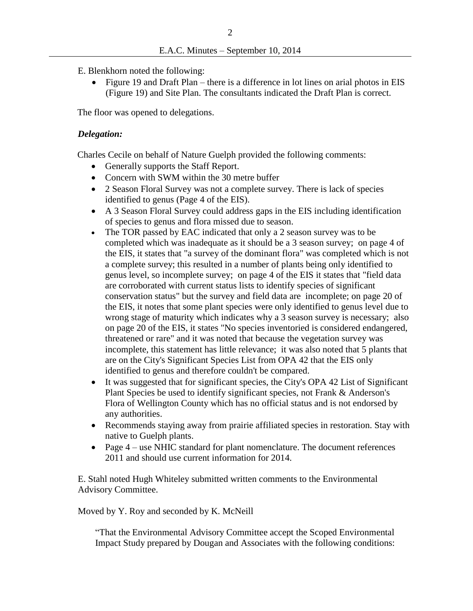- E. Blenkhorn noted the following:
	- Figure 19 and Draft Plan there is a difference in lot lines on arial photos in EIS (Figure 19) and Site Plan. The consultants indicated the Draft Plan is correct.

The floor was opened to delegations.

#### *Delegation:*

Charles Cecile on behalf of Nature Guelph provided the following comments:

- Generally supports the Staff Report.
- Concern with SWM within the 30 metre buffer
- 2 Season Floral Survey was not a complete survey. There is lack of species identified to genus (Page 4 of the EIS).
- A 3 Season Floral Survey could address gaps in the EIS including identification of species to genus and flora missed due to season.
- The TOR passed by EAC indicated that only a 2 season survey was to be completed which was inadequate as it should be a 3 season survey; on page 4 of the EIS, it states that "a survey of the dominant flora" was completed which is not a complete survey; this resulted in a number of plants being only identified to genus level, so incomplete survey; on page 4 of the EIS it states that "field data are corroborated with current status lists to identify species of significant conservation status" but the survey and field data are incomplete; on page 20 of the EIS, it notes that some plant species were only identified to genus level due to wrong stage of maturity which indicates why a 3 season survey is necessary; also on page 20 of the EIS, it states "No species inventoried is considered endangered, threatened or rare" and it was noted that because the vegetation survey was incomplete, this statement has little relevance; it was also noted that 5 plants that are on the City's Significant Species List from OPA 42 that the EIS only identified to genus and therefore couldn't be compared.
- It was suggested that for significant species, the City's OPA 42 List of Significant Plant Species be used to identify significant species, not Frank & Anderson's Flora of Wellington County which has no official status and is not endorsed by any authorities.
- Recommends staying away from prairie affiliated species in restoration. Stay with native to Guelph plants.
- Page 4 use NHIC standard for plant nomenclature. The document references 2011 and should use current information for 2014.

E. Stahl noted Hugh Whiteley submitted written comments to the Environmental Advisory Committee.

Moved by Y. Roy and seconded by K. McNeill

"That the Environmental Advisory Committee accept the Scoped Environmental Impact Study prepared by Dougan and Associates with the following conditions: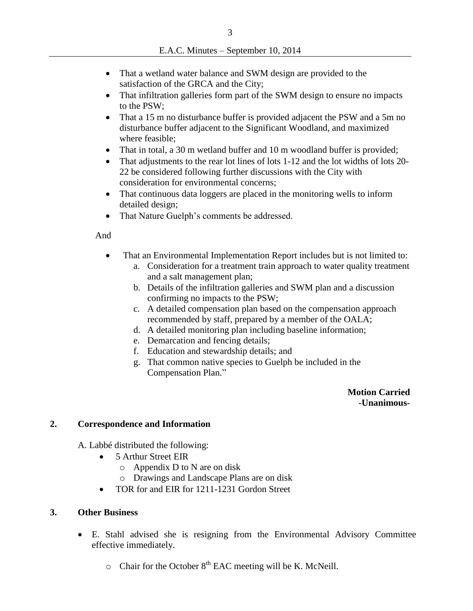- That a wetland water balance and SWM design are provided to the satisfaction of the GRCA and the City;
- That infiltration galleries form part of the SWM design to ensure no impacts to the PSW;
- That a 15 m no disturbance buffer is provided adjacent the PSW and a 5m no disturbance buffer adjacent to the Significant Woodland, and maximized where feasible;
- That in total, a 30 m wetland buffer and 10 m woodland buffer is provided;
- That adjustments to the rear lot lines of lots 1-12 and the lot widths of lots 20- 22 be considered following further discussions with the City with consideration for environmental concerns;
- That continuous data loggers are placed in the monitoring wells to inform detailed design;
- That Nature Guelph's comments be addressed.

## And

- That an Environmental Implementation Report includes but is not limited to:
	- a. Consideration for a treatment train approach to water quality treatment and a salt management plan;
	- b. Details of the infiltration galleries and SWM plan and a discussion confirming no impacts to the PSW;
	- c. A detailed compensation plan based on the compensation approach recommended by staff, prepared by a member of the OALA;
	- d. A detailed monitoring plan including baseline information;
	- e. Demarcation and fencing details;
	- f. Education and stewardship details; and
	- g. That common native species to Guelph be included in the Compensation Plan."

 **Motion Carried -Unanimous-**

## **2. Correspondence and Information**

A. Labbé distributed the following:

- 5 Arthur Street EIR
	- o Appendix D to N are on disk
	- o Drawings and Landscape Plans are on disk
- TOR for and EIR for 1211-1231 Gordon Street

## **3. Other Business**

- E. Stahl advised she is resigning from the Environmental Advisory Committee effective immediately.
	- $\circ$  Chair for the October  $8^{th}$  EAC meeting will be K. McNeill.